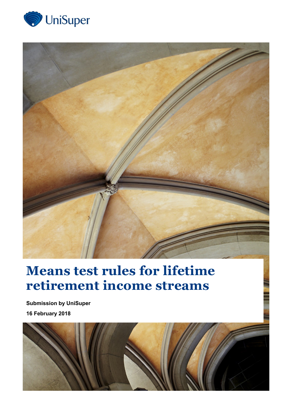



# **Means test rules for lifetime retirement income streams**

**Submission by UniSuper 16 February 2018**

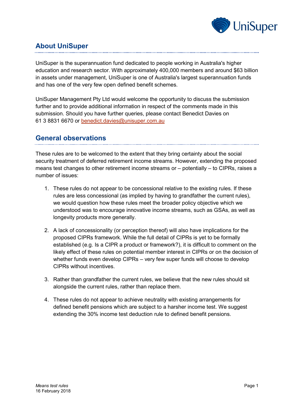

# **About UniSuper**

UniSuper is the superannuation fund dedicated to people working in Australia's higher education and research sector. With approximately 400,000 members and around \$63 billion in assets under management, UniSuper is one of Australia's largest superannuation funds and has one of the very few open defined benefit schemes.

UniSuper Management Pty Ltd would welcome the opportunity to discuss the submission further and to provide additional information in respect of the comments made in this submission. Should you have further queries, please contact Benedict Davies on 61 3 8831 6670 or [benedict.davies@unisuper.com.au](mailto:benedict.davies@unisuper.com.au)

#### **General observations**

These rules are to be welcomed to the extent that they bring certainty about the social security treatment of deferred retirement income streams. However, extending the proposed means test changes to other retirement income streams or – potentially – to CIPRs, raises a number of issues:

- 1. These rules do not appear to be concessional relative to the existing rules. If these rules are less concessional (as implied by having to grandfather the current rules), we would question how these rules meet the broader policy objective which we understood was to encourage innovative income streams, such as GSAs, as well as longevity products more generally.
- 2. A lack of concessionality (or perception thereof) will also have implications for the proposed CIPRs framework. While the full detail of CIPRs is yet to be formally established (e.g. Is a CIPR a product or framework?), it is difficult to comment on the likely effect of these rules on potential member interest in CIPRs or on the decision of whether funds even develop CIPRs – very few super funds will choose to develop CIPRs without incentives.
- 3. Rather than grandfather the current rules, we believe that the new rules should sit alongside the current rules, rather than replace them.
- 4. These rules do not appear to achieve neutrality with existing arrangements for defined benefit pensions which are subject to a harsher income test. We suggest extending the 30% income test deduction rule to defined benefit pensions.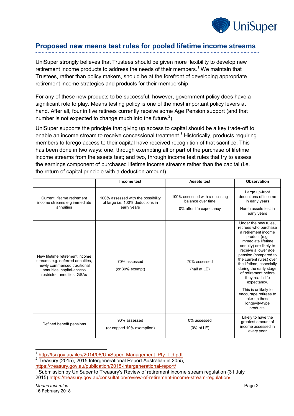

### **Proposed new means test rules for pooled lifetime income streams**

UniSuper strongly believes that Trustees should be given more flexibility to develop new retirement income products to address the needs of their members.<sup>1</sup> We maintain that Trustees, rather than policy makers, should be at the forefront of developing appropriate retirement income strategies and products for their membership.

For any of these new products to be successful, however, government policy does have a significant role to play. Means testing policy is one of the most important policy levers at hand. After all, four in five retirees currently receive some Age Pension support (and that number is not expected to change much into the future.<sup>2</sup>)

UniSuper supports the principle that giving up access to capital should be a key trade-off to enable an income stream to receive concessional treatment.<sup>3</sup> Historically, products requiring members to forego access to their capital have received recognition of that sacrifice. This has been done in two ways: one, through exempting all or part of the purchase of lifetime income streams from the assets test; and two, through income test rules that try to assess the earnings component of purchased lifetime income streams rather than the capital (i.e. the return of capital principle with a deduction amount).

|                                                                                                                                                              | Income test                                                                           | <b>Assets test</b>                                                              | <b>Observation</b>                                                                                                                                                                                                                                                                                                                                                                                                              |
|--------------------------------------------------------------------------------------------------------------------------------------------------------------|---------------------------------------------------------------------------------------|---------------------------------------------------------------------------------|---------------------------------------------------------------------------------------------------------------------------------------------------------------------------------------------------------------------------------------------------------------------------------------------------------------------------------------------------------------------------------------------------------------------------------|
| Current lifetime retirement<br>income streams e.g immediate<br>annuities                                                                                     | 100% assessed with the possibility<br>of large i.e. 100% deductions in<br>early years | 100% assessed with a declining<br>balance over time<br>0% after life expectancy | Large up-front<br>deductions of income<br>in early years<br>Harsh assets test in<br>early years                                                                                                                                                                                                                                                                                                                                 |
| New lifetime retirement income<br>streams e.g. deferred annuities,<br>newly commenced traditional<br>annuities, capital-access<br>restricted annuities, GSAs | 70% assessed<br>(or 30% exempt)                                                       | 70% assessed<br>(half at LE)                                                    | Under the new rules,<br>retirees who purchase<br>a retirement income<br>product (e.g.<br>immediate lifetime<br>annuity) are likely to<br>receive a lower age<br>pension (compared to<br>the current rules) over<br>the lifetime, especially<br>during the early stage<br>of retirement before<br>they reach life<br>expectancy.<br>This is unlikely to<br>encourage retirees to<br>take-up these<br>longevity-type<br>products. |
| Defined benefit pensions                                                                                                                                     | 90% assessed<br>(or capped 10% exemption)                                             | 0% assessed<br>$(0\%$ at LE)                                                    | Likely to have the<br>greatest amount of<br>income assessed in<br>every year                                                                                                                                                                                                                                                                                                                                                    |

<sup>1</sup> [http://fsi.gov.au/files/2014/08/UniSuper\\_Management\\_Pty\\_Ltd.pdf](http://fsi.gov.au/files/2014/08/UniSuper_Management_Pty_Ltd.pdf)

-

<sup>&</sup>lt;sup>2</sup> Treasury (2015), 2015 Intergenerational Report Australian in 2055,

<https://treasury.gov.au/publication/2015-intergenerational-report/>

 $3$  Submission by UniSuper to Treasury's Review of retirement income stream regulation (31 July 2015)<https://treasury.gov.au/consultation/review-of-retirement-income-stream-regulation/>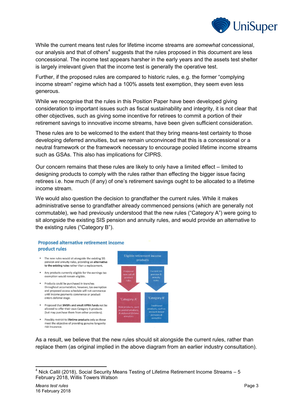

While the current means test rules for lifetime income streams are *somewhat* concessional, our analysis and that of others<sup>4</sup> suggests that the rules proposed in this document are less concessional. The income test appears harsher in the early years and the assets test shelter is largely irrelevant given that the income test is generally the operative test.

Further, if the proposed rules are compared to historic rules, e.g. the former "complying income stream" regime which had a 100% assets test exemption, they seem even less generous.

While we recognise that the rules in this Position Paper have been developed giving consideration to important issues such as fiscal sustainability and integrity, it is not clear that other objectives, such as giving some incentive for retirees to commit a portion of their retirement savings to innovative income streams, have been given sufficient consideration.

These rules are to be welcomed to the extent that they bring means-test certainty to those developing deferred annuities, but we remain unconvinced that this is a concessional or a neutral framework or the framework necessary to encourage pooled lifetime income streams such as GSAs. This also has implications for CIPRS.

Our concern remains that these rules are likely to only have a limited effect – limited to designing products to comply with the rules rather than effecting the bigger issue facing retirees i.e. how much (if any) of one's retirement savings ought to be allocated to a lifetime income stream.

We would also question the decision to grandfather the current rules. While it makes administrative sense to grandfather already commenced pensions (which are generally not commutable), we had previously understood that the new rules ("Category A") were going to sit alongside the existing SIS pension and annuity rules, and would provide an alternative to the existing rules ("Category B").

#### **Proposed alternative retirement income** product rules

- The new rules would sit alongside the existing SIS pension and annuity rules, providing an alternative to the existing rules rather than a replacement.
- . Any products currently eligible for the earnings tax exemption would remain eligible.
- · Products could be purchased in tranches throughout accumulation, however, tax exemption and proposed access schedule will not commence until income payments commence or product enters deferral stage.
- Proposed that SMSFs and small APRA funds not be allowed to offer their own Category A products (but may purchase them from other providers).
- · Possibly restrict to lifetime products only as these meet the objective of providing genuine longevity risk insurance.



As a result, we believe that the new rules should sit alongside the current rules, rather than replace them (as original implied in the above diagram from an earlier industry consultation).

-

 $4$  Nick Callil (2018), Social Security Means Testing of Lifetime Retirement Income Streams  $-5$ February 2018, Willis Towers Watson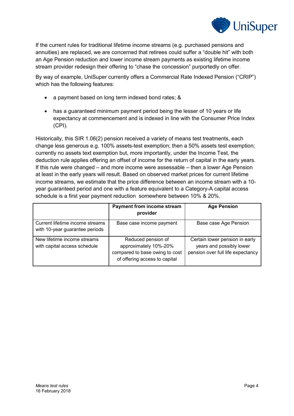

If the current rules for traditional lifetime income streams (e.g. purchased pensions and annuities) are replaced, we are concerned that retirees could suffer a "double hit" with both an Age Pension reduction and lower income stream payments as existing lifetime income stream provider redesign their offering to "chase the concession" purportedly on offer.

By way of example, UniSuper currently offers a Commercial Rate Indexed Pension ("CRIP") which has the following features:

- a payment based on long term indexed bond rates; &
- has a guaranteed minimum payment period being the lesser of 10 years or life expectancy at commencement and is indexed in line with the Consumer Price Index (CPI).

Historically, this SIR 1.06(2) pension received a variety of means test treatments, each change less generous e.g. 100% assets-test exemption; then a 50% assets test exemption; currently no assets text exemption but, more importantly, under the Income Test, the deduction rule applies offering an offset of income for the return of capital in the early years. If this rule were changed – and more income were assessable – then a lower Age Pension at least in the early years will result. Based on observed market prices for current lifetime income streams, we estimate that the price difference between an income stream with a 10 year guaranteed period and one with a feature equivalent to a Category-A capital access schedule is a first year payment reduction somewhere between 10% & 20%.

|                                                                   | <b>Payment from income stream</b><br>provider                                                                  | <b>Age Pension</b>                                                                              |
|-------------------------------------------------------------------|----------------------------------------------------------------------------------------------------------------|-------------------------------------------------------------------------------------------------|
| Current lifetime income streams<br>with 10-year guarantee periods | Base case income payment                                                                                       | Base case Age Pension                                                                           |
| New lifetime income streams<br>with capital access schedule       | Reduced pension of<br>approximately 10%-20%<br>compared to base owing to cost<br>of offering access to capital | Certain lower pension in early<br>years and possibly lower<br>pension over full life expectancy |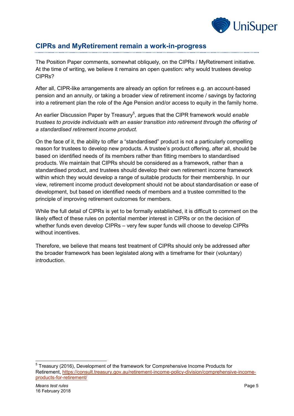

## **CIPRs and MyRetirement remain a work-in-progress**

The Position Paper comments, somewhat obliquely, on the CIPRs / MyRetirement initiative. At the time of writing, we believe it remains an open question: why would trustees develop CIPRs?

After all, CIPR-like arrangements are already an option for retirees e.g. an account-based pension and an annuity, or taking a broader view of retirement income / savings by factoring into a retirement plan the role of the Age Pension and/or access to equity in the family home.

An earlier Discussion Paper by Treasury<sup>5</sup>, argues that the CIPR framework would enable *trustees to provide individuals with an easier transition into retirement through the offering of a standardised retirement income product.*

On the face of it, the ability to offer a "standardised" product is not a particularly compelling reason for trustees to develop new products. A trustee's product offering, after all, should be based on identified needs of its members rather than fitting members to standardised products. We maintain that CIPRs should be considered as a framework, rather than a standardised product, and trustees should develop their own retirement income framework within which they would develop a range of suitable products for their membership. In our view, retirement income product development should not be about standardisation or ease of development, but based on identified needs of members and a trustee committed to the principle of improving retirement outcomes for members.

While the full detail of CIPRs is yet to be formally established, it is difficult to comment on the likely effect of these rules on potential member interest in CIPRs or on the decision of whether funds even develop CIPRs – very few super funds will choose to develop CIPRs without incentives.

Therefore, we believe that means test treatment of CIPRs should only be addressed after the broader framework has been legislated along with a timeframe for their (voluntary) introduction.

<sup>————————————————————&</sup>lt;br><sup>5</sup> Treasury (2016), Development of the framework for Comprehensive Income Products for Retirement, [https://consult.treasury.gov.au/retirement-income-policy-division/comprehensive-income](https://consult.treasury.gov.au/retirement-income-policy-division/comprehensive-income-products-for-retirement/)[products-for-retirement/](https://consult.treasury.gov.au/retirement-income-policy-division/comprehensive-income-products-for-retirement/)